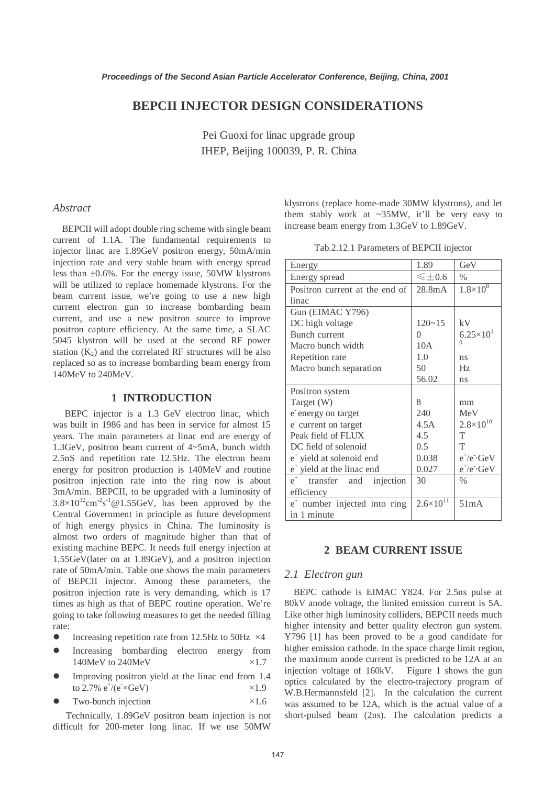# **BEPCII INJECTOR DESIGN CONSIDERATIONS**

Pei Guoxi for linac upgrade group IHEP, Beijing 100039, P. R. China

## *Abstract*

BEPCII will adopt double ring scheme with single beam current of 1.1A. The fundamental requirements to injector linac are 1.89GeV positron energy, 50mA/min injection rate and very stable beam with energy spread less than ±0.6%. For the energy issue, 50MW klystrons will be utilized to replace homemade klystrons. For the beam current issue, we're going to use a new high current electron gun to increase bombarding beam current, and use a new positron source to improve positron capture efficiency. At the same time, a SLAC 5045 klystron will be used at the second RF power station  $(K_2)$  and the correlated RF structures will be also replaced so as to increase bombarding beam energy from 140MeV to 240MeV.

## **1 INTRODUCTION**

BEPC injector is a 1.3 GeV electron linac, which was built in 1986 and has been in service for almost 15 years. The main parameters at linac end are energy of 1.3GeV, positron beam current of 4~5mA, bunch width 2.5nS and repetition rate 12.5Hz. The electron beam energy for positron production is 140MeV and routine positron injection rate into the ring now is about 3mA/min. BEPCII, to be upgraded with a luminosity of  $3.8 \times 10^{32}$  cm<sup>-2</sup>s<sup>-1</sup> @ 1.55GeV, has been approved by the Central Government in principle as future development of high energy physics in China. The luminosity is almost two orders of magnitude higher than that of existing machine BEPC. It needs full energy injection at 1.55GeV(later on at 1.89GeV), and a positron injection rate of 50mA/min. Table one shows the main parameters of BEPCII injector. Among these parameters, the positron injection rate is very demanding, which is 17 times as high as that of BEPC routine operation. We're going to take following measures to get the needed filling rate:

- Increasing repetition rate from 12.5Hz to 50Hz  $\times$ 4
- **•** Increasing bombarding electron energy from 140MeV to 240MeV  $\times 1.7$
- Improving positron yield at the linac end from 1.4 to 2.7%  $e^{\frac{1}{2}}$ /( $e^{\frac{1}{2}}$ SGeV)  $\times 1.9$
- Two-bunch injection  $\times 1.6$

Technically, 1.89GeV positron beam injection is not difficult for 200-meter long linac. If we use 50MW

klystrons (replace home-made 30MW klystrons), and let them stably work at ~35MW, it'll be very easy to increase beam energy from 1.3GeV to 1.89GeV.

Tab.2.12.1 Parameters of BEPCII injector

| Energy                                   | 1.89                 | GeV                  |
|------------------------------------------|----------------------|----------------------|
| Energy spread                            | $\leq \pm 0.6$       | $\frac{0}{0}$        |
| Positron current at the end of           | 28.8 <sub>m</sub> A  | $1.8 \times 10^8$    |
| linac                                    |                      |                      |
| Gun (EIMAC Y796)                         |                      |                      |
| DC high voltage                          | $120 - 15$           | kV                   |
| Bunch current                            | 0                    | $6.25 \times 10^{1}$ |
| Macro bunch width                        | 10A                  | $\Omega$             |
| Repetition rate                          | 1.0                  | ns                   |
| Macro bunch separation                   | 50                   | Hz                   |
|                                          | 56.02                | ns                   |
| Positron system                          |                      |                      |
| Target (W)                               | 8                    | mm                   |
| e energy on target                       | 240                  | MeV                  |
| e' current on target                     | 4.5A                 | $2.8 \times 10^{10}$ |
| Peak field of FLUX                       | 4.5                  | T                    |
| DC field of solenoid                     | 0.5                  | T                    |
| $e+$ yield at solenoid end               | 0.038                | $e^+/e^-$ GeV        |
| $e^+$ yield at the linac end             | 0.027                | $e^+/e^-$ GeV        |
| $e^+$<br>transfer and<br>injection       | 30                   | $\frac{0}{0}$        |
| efficiency                               |                      |                      |
| e <sup>+</sup> number injected into ring | $2.6 \times 10^{11}$ | 51mA                 |
| in 1 minute                              |                      |                      |

### **2 BEAM CURRENT ISSUE**

## *2.1 Electron gun*

BEPC cathode is EIMAC Y824. For 2.5ns pulse at 80kV anode voltage, the limited emission current is 5A. Like other high luminosity colliders, BEPCII needs much higher intensity and better quality electron gun system. Y796 [1] has been proved to be a good candidate for higher emission cathode. In the space charge limit region, the maximum anode current is predicted to be 12A at an injection voltage of 160kV. Figure 1 shows the gun optics calculated by the electro-trajectory program of W.B.Hermannsfeld [2]. In the calculation the current was assumed to be 12A, which is the actual value of a short-pulsed beam (2ns). The calculation predicts a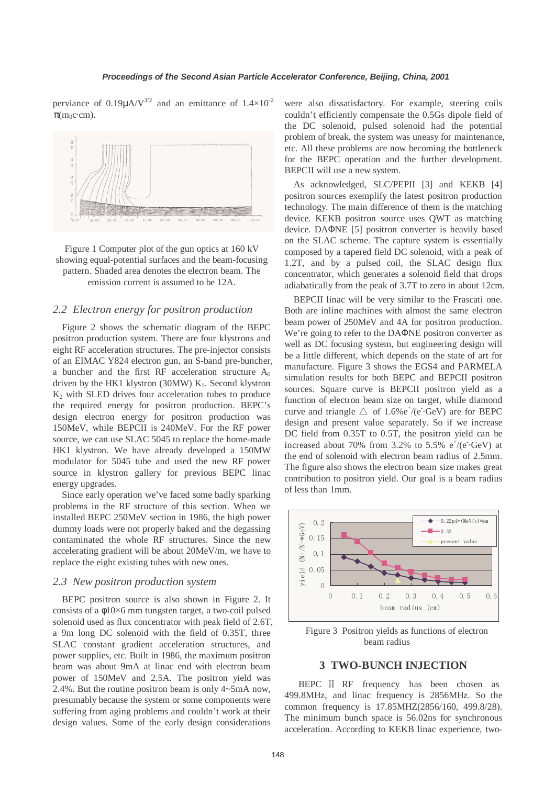perviance of 0.19 $\mu$ A/V<sup>3/2</sup> and an emittance of  $1.4\times10^{-2}$  $\pi$ (m<sub>0</sub>c·cm).





## *2.2 Electron energy for positron production*

Figure 2 shows the schematic diagram of the BEPC positron production system. There are four klystrons and eight RF acceleration structures. The pre-injector consists of an EIMAC Y824 electron gun, an S-band pre-buncher, a buncher and the first RF acceleration structure  $A_0$ driven by the HK1 klystron (30MW)  $K_1$ . Second klystron  $K<sub>2</sub>$  with SLED drives four acceleration tubes to produce the required energy for positron production. BEPC's design electron energy for positron production was 150MeV, while BEPCII is 240MeV. For the RF power source, we can use SLAC 5045 to replace the home-made HK1 klystron. We have already developed a 150MW modulator for 5045 tube and used the new RF power source in klystron gallery for previous BEPC linac energy upgrades.

Since early operation we've faced some badly sparking problems in the RF structure of this section. When we installed BEPC 250MeV section in 1986, the high power dummy loads were not properly baked and the degassing contaminated the whole RF structures. Since the new accelerating gradient will be about 20MeV/m, we have to replace the eight existing tubes with new ones.

#### *2.3 New positron production system*

BEPC positron source is also shown in Figure 2. It consists of a φ10×6 mm tungsten target, a two-coil pulsed solenoid used as flux concentrator with peak field of 2.6T, a 9m long DC solenoid with the field of 0.35T, three SLAC constant gradient acceleration structures, and power supplies, etc. Built in 1986, the maximum positron beam was about 9mA at linac end with electron beam power of 150MeV and 2.5A. The positron yield was 2.4%. But the routine positron beam is only 4~5mA now, presumably because the system or some components were suffering from aging problems and couldn't work at their design values. Some of the early design considerations

were also dissatisfactory. For example, steering coils couldn't efficiently compensate the 0.5Gs dipole field of the DC solenoid, pulsed solenoid had the potential problem of break, the system was uneasy for maintenance, etc. All these problems are now becoming the bottleneck for the BEPC operation and the further development. BEPCII will use a new system.

As acknowledged, SLC/PEPII [3] and KEKB [4] positron sources exemplify the latest positron production technology. The main difference of them is the matching device. KEKB positron source uses QWT as matching device. DAΦNE [5] positron converter is heavily based on the SLAC scheme. The capture system is essentially composed by a tapered field DC solenoid, with a peak of 1.2T, and by a pulsed coil, the SLAC design flux concentrator, which generates a solenoid field that drops adiabatically from the peak of 3.7T to zero in about 12cm.

BEPCII linac will be very similar to the Frascati one. Both are inline machines with almost the same electron beam power of 250MeV and 4A for positron production. We're going to refer to the DAΦNE positron converter as well as DC focusing system, but engineering design will be a little different, which depends on the state of art for manufacture. Figure 3 shows the EGS4 and PARMELA simulation results for both BEPC and BEPCII positron sources. Square curve is BEPCII positron yield as a function of electron beam size on target, while diamond curve and triangle  $\triangle$  of 1.6% $e^+$ /(e<sup> $\cdot$ </sup>GeV) are for BEPC design and present value separately. So if we increase DC field from 0.35T to 0.5T, the positron yield can be increased about 70% from 3.2% to 5.5%  $e^{\frac{t}{c}}$  (e<sup>-</sup>GeV) at the end of solenoid with electron beam radius of 2.5mm. The figure also shows the electron beam size makes great contribution to positron yield. Our goal is a beam radius of less than 1mm.



Figure 3 Positron yields as functions of electron beam radius

## **3 TWO-BUNCH INJECTION**

BEPC II RF frequency has been chosen as 499.8MHz, and linac frequency is 2856MHz. So the common frequency is 17.85MHZ(2856/160, 499.8/28). The minimum bunch space is 56.02ns for synchronous acceleration. According to KEKB linac experience, two-